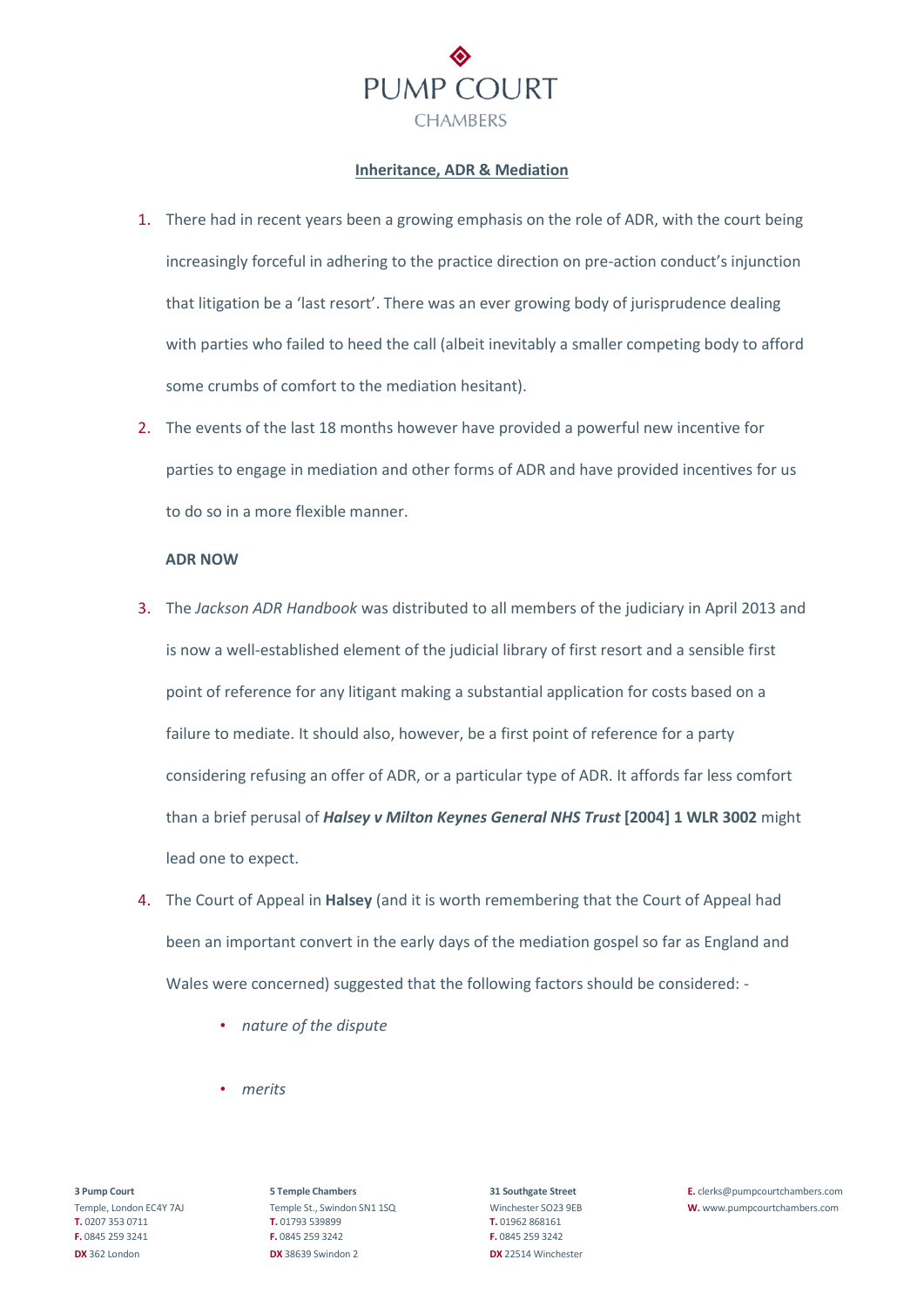

#### **Inheritance, ADR & Mediation**

- 1. There had in recent years been a growing emphasis on the role of ADR, with the court being increasingly forceful in adhering to the practice direction on pre-action conduct's injunction that litigation be a 'last resort'. There was an ever growing body of jurisprudence dealing with parties who failed to heed the call (albeit inevitably a smaller competing body to afford some crumbs of comfort to the mediation hesitant).
- 2. The events of the last 18 months however have provided a powerful new incentive for parties to engage in mediation and other forms of ADR and have provided incentives for us to do so in a more flexible manner.

## **ADR NOW**

- 3. The *Jackson ADR Handbook* was distributed to all members of the judiciary in April 2013 and is now a well-established element of the judicial library of first resort and a sensible first point of reference for any litigant making a substantial application for costs based on a failure to mediate. It should also, however, be a first point of reference for a party considering refusing an offer of ADR, or a particular type of ADR. It affords far less comfort than a brief perusal of *Halsey v Milton Keynes General NHS Trust* **[2004] 1 WLR 3002** might lead one to expect.
- 4. The Court of Appeal in **Halsey** (and it is worth remembering that the Court of Appeal had been an important convert in the early days of the mediation gospel so far as England and Wales were concerned) suggested that the following factors should be considered: -
	- *nature of the dispute*
	- *merits*

**T.** 0207 353 0711 **T.** 01793 539899 **T.** 01962 868161 **F.** 0845 259 3241 **F.** 0845 259 3242 **F.** 0845 259 3242 **DX** 362 London **DX** 38639 Swindon 2 **DX** 22514 Winchester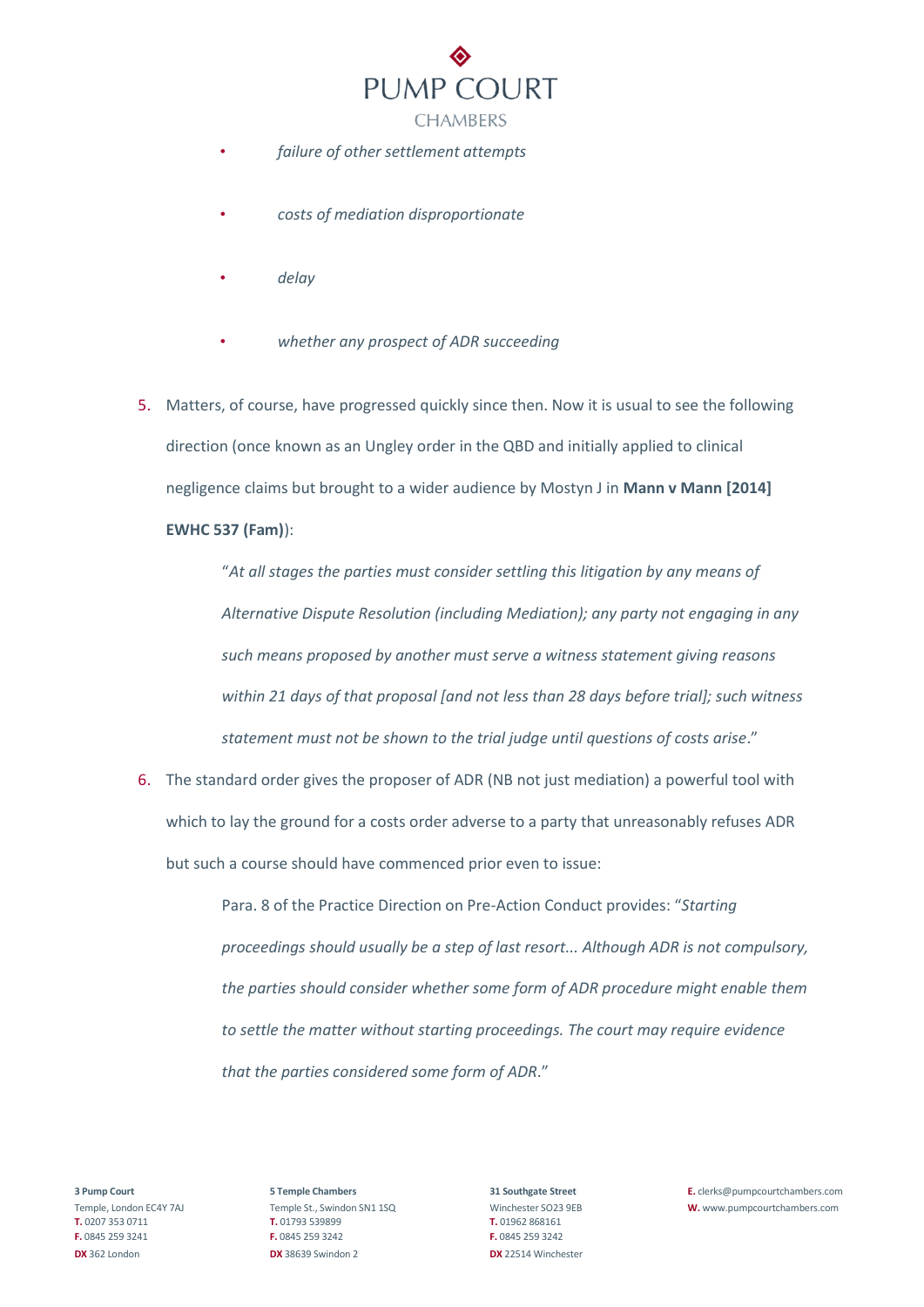

- *failure of other settlement attempts*
- *costs of mediation disproportionate*
- *delay*
- *whether any prospect of ADR succeeding*
- 5. Matters, of course, have progressed quickly since then. Now it is usual to see the following direction (once known as an Ungley order in the QBD and initially applied to clinical negligence claims but brought to a wider audience by Mostyn J in **Mann v Mann [2014] EWHC 537 (Fam)**):

"*At all stages the parties must consider settling this litigation by any means of Alternative Dispute Resolution (including Mediation); any party not engaging in any such means proposed by another must serve a witness statement giving reasons within 21 days of that proposal [and not less than 28 days before trial]; such witness statement must not be shown to the trial judge until questions of costs arise*."

6. The standard order gives the proposer of ADR (NB not just mediation) a powerful tool with which to lay the ground for a costs order adverse to a party that unreasonably refuses ADR but such a course should have commenced prior even to issue:

> Para. 8 of the Practice Direction on Pre-Action Conduct provides: "*Starting proceedings should usually be a step of last resort... Although ADR is not compulsory, the parties should consider whether some form of ADR procedure might enable them to settle the matter without starting proceedings. The court may require evidence that the parties considered some form of ADR*."

**T.** 0207 353 0711 **T.** 01793 539899 **T.** 01962 868161 **F.** 0845 259 3241 **F.** 0845 259 3242 **F.** 0845 259 3242 **DX** 362 London **DX** 38639 Swindon 2 **DX** 22514 Winchester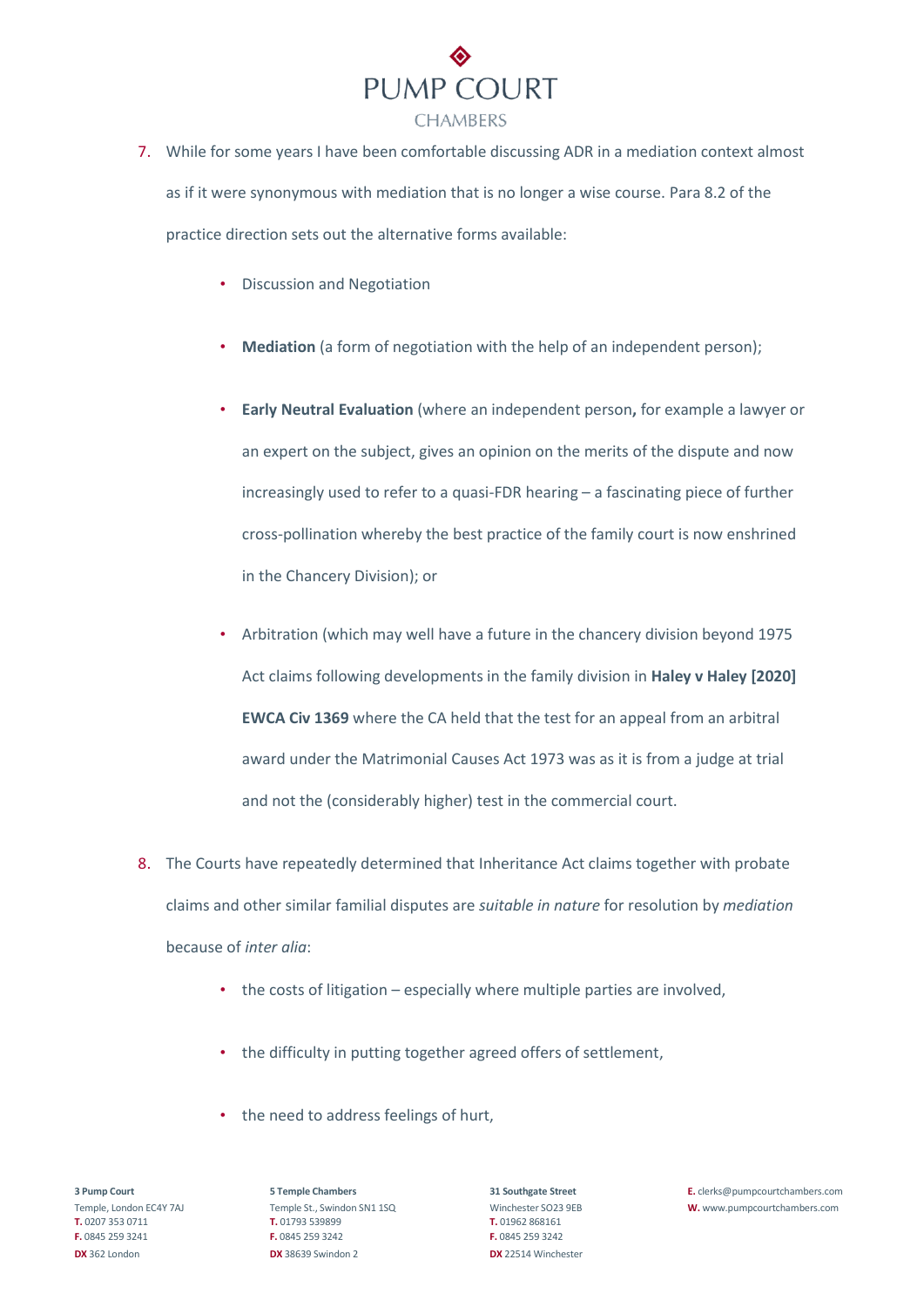

- 7. While for some years I have been comfortable discussing ADR in a mediation context almost as if it were synonymous with mediation that is no longer a wise course. Para 8.2 of the practice direction sets out the alternative forms available:
	- Discussion and Negotiation
	- **Mediation** (a form of negotiation with the help of an independent person);
	- **Early Neutral Evaluation** (where an independent person**,** for example a lawyer or an expert on the subject, gives an opinion on the merits of the dispute and now increasingly used to refer to a quasi-FDR hearing – a fascinating piece of further cross-pollination whereby the best practice of the family court is now enshrined in the Chancery Division); or
	- Arbitration (which may well have a future in the chancery division beyond 1975 Act claims following developments in the family division in **Haley v Haley [2020] EWCA Civ 1369** where the CA held that the test for an appeal from an arbitral award under the Matrimonial Causes Act 1973 was as it is from a judge at trial and not the (considerably higher) test in the commercial court.
- 8. The Courts have repeatedly determined that Inheritance Act claims together with probate claims and other similar familial disputes are *suitable in nature* for resolution by *mediation* because of *inter alia*:
	- the costs of litigation especially where multiple parties are involved,
	- the difficulty in putting together agreed offers of settlement,
	- the need to address feelings of hurt,

**T.** 0207 353 0711 **T.** 01793 539899 **T.** 01962 868161 **F.** 0845 259 3241 **F.** 0845 259 3242 **F.** 0845 259 3242 **DX** 362 London **DX** 38639 Swindon 2 **DX** 22514 Winchester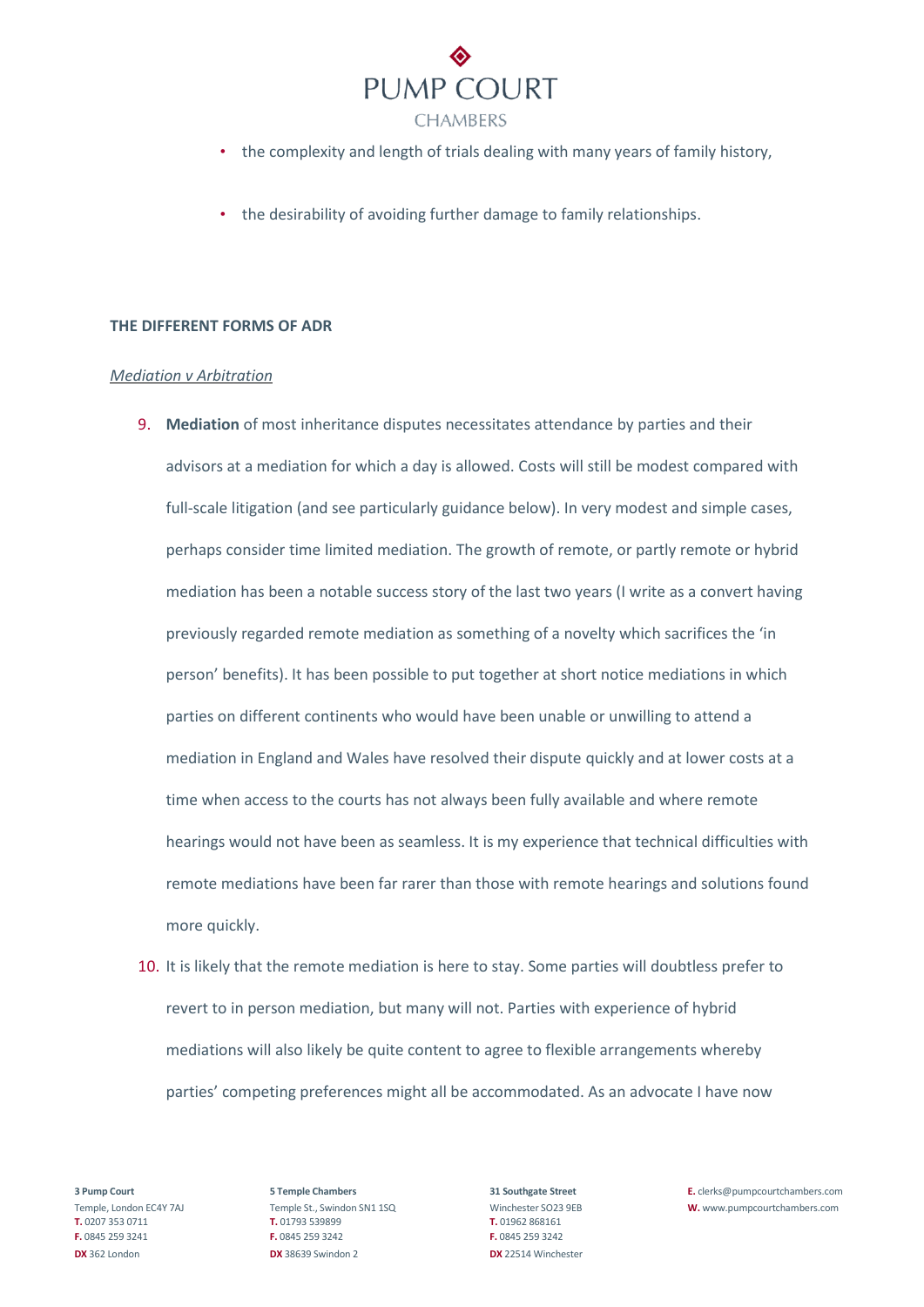

- the complexity and length of trials dealing with many years of family history,
- the desirability of avoiding further damage to family relationships.

### **THE DIFFERENT FORMS OF ADR**

#### *Mediation v Arbitration*

- 9. **Mediation** of most inheritance disputes necessitates attendance by parties and their advisors at a mediation for which a day is allowed. Costs will still be modest compared with full-scale litigation (and see particularly guidance below). In very modest and simple cases, perhaps consider time limited mediation. The growth of remote, or partly remote or hybrid mediation has been a notable success story of the last two years (I write as a convert having previously regarded remote mediation as something of a novelty which sacrifices the 'in person' benefits). It has been possible to put together at short notice mediations in which parties on different continents who would have been unable or unwilling to attend a mediation in England and Wales have resolved their dispute quickly and at lower costs at a time when access to the courts has not always been fully available and where remote hearings would not have been as seamless. It is my experience that technical difficulties with remote mediations have been far rarer than those with remote hearings and solutions found more quickly.
- 10. It is likely that the remote mediation is here to stay. Some parties will doubtless prefer to revert to in person mediation, but many will not. Parties with experience of hybrid mediations will also likely be quite content to agree to flexible arrangements whereby parties' competing preferences might all be accommodated. As an advocate I have now

**T.** 0207 353 0711 **T.** 01793 539899 **T.** 01962 868161 **F.** 0845 259 3241 **F.** 0845 259 3242 **F.** 0845 259 3242 **DX** 362 London **DX** 38639 Swindon 2 **DX** 22514 Winchester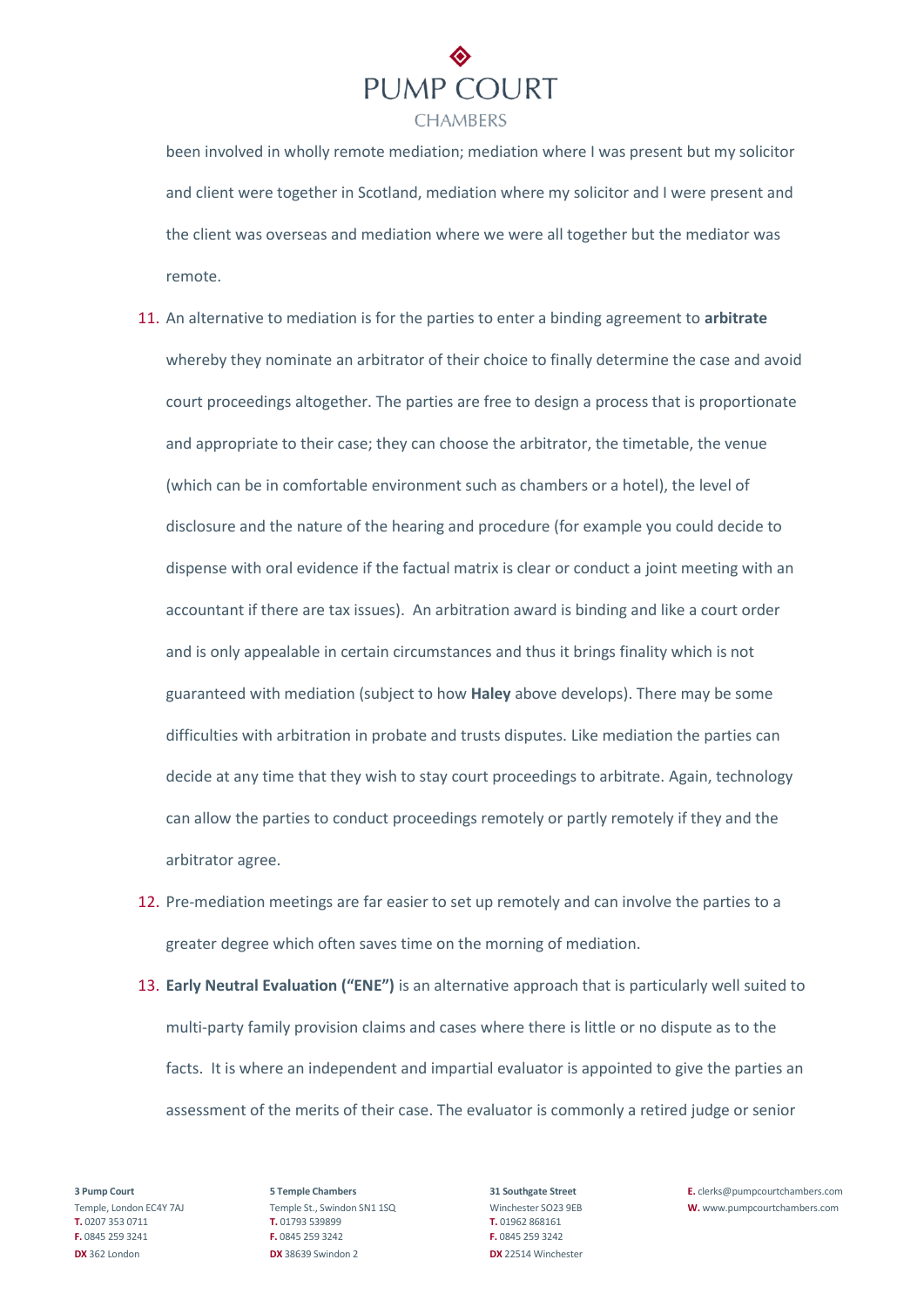

been involved in wholly remote mediation; mediation where I was present but my solicitor and client were together in Scotland, mediation where my solicitor and I were present and the client was overseas and mediation where we were all together but the mediator was remote.

- 11. An alternative to mediation is for the parties to enter a binding agreement to **arbitrate**  whereby they nominate an arbitrator of their choice to finally determine the case and avoid court proceedings altogether. The parties are free to design a process that is proportionate and appropriate to their case; they can choose the arbitrator, the timetable, the venue (which can be in comfortable environment such as chambers or a hotel), the level of disclosure and the nature of the hearing and procedure (for example you could decide to dispense with oral evidence if the factual matrix is clear or conduct a joint meeting with an accountant if there are tax issues). An arbitration award is binding and like a court order and is only appealable in certain circumstances and thus it brings finality which is not guaranteed with mediation (subject to how **Haley** above develops). There may be some difficulties with arbitration in probate and trusts disputes. Like mediation the parties can decide at any time that they wish to stay court proceedings to arbitrate. Again, technology can allow the parties to conduct proceedings remotely or partly remotely if they and the arbitrator agree.
- 12. Pre-mediation meetings are far easier to set up remotely and can involve the parties to a greater degree which often saves time on the morning of mediation.
- 13. **Early Neutral Evaluation ("ENE")** is an alternative approach that is particularly well suited to multi-party family provision claims and cases where there is little or no dispute as to the facts. It is where an independent and impartial evaluator is appointed to give the parties an assessment of the merits of their case. The evaluator is commonly a retired judge or senior

**T.** 0207 353 0711 **T.** 01793 539899 **T.** 01962 868161 **F.** 0845 259 3241 **F.** 0845 259 3242 **F.** 0845 259 3242 **DX** 362 London **DX** 38639 Swindon 2 **DX** 22514 Winchester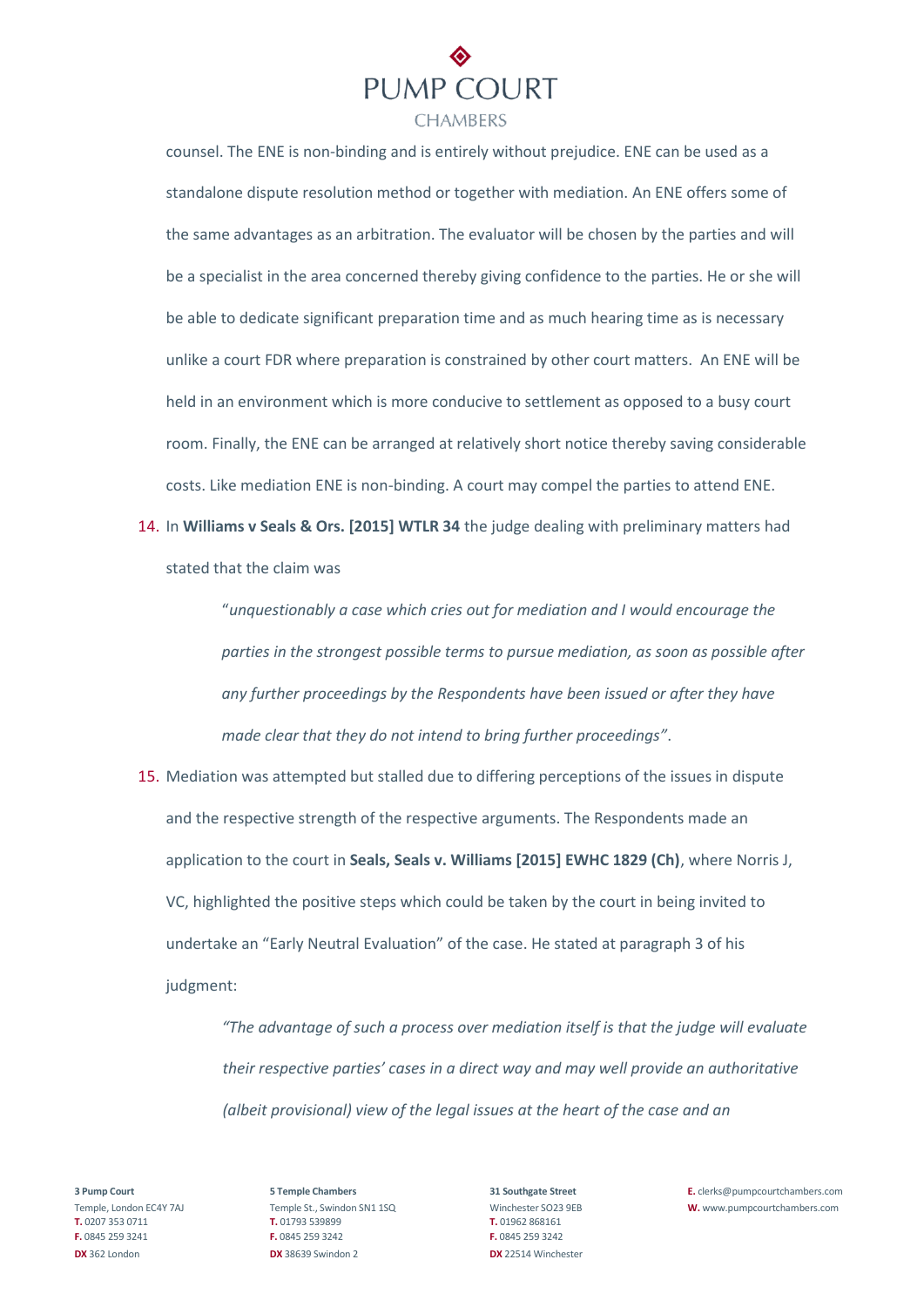

counsel. The ENE is non-binding and is entirely without prejudice. ENE can be used as a standalone dispute resolution method or together with mediation. An ENE offers some of the same advantages as an arbitration. The evaluator will be chosen by the parties and will be a specialist in the area concerned thereby giving confidence to the parties. He or she will be able to dedicate significant preparation time and as much hearing time as is necessary unlike a court FDR where preparation is constrained by other court matters. An ENE will be held in an environment which is more conducive to settlement as opposed to a busy court room. Finally, the ENE can be arranged at relatively short notice thereby saving considerable costs. Like mediation ENE is non-binding. A court may compel the parties to attend ENE.

14. In **Williams v Seals & Ors. [2015] WTLR 34** the judge dealing with preliminary matters had stated that the claim was

> "*unquestionably a case which cries out for mediation and I would encourage the parties in the strongest possible terms to pursue mediation, as soon as possible after any further proceedings by the Respondents have been issued or after they have made clear that they do not intend to bring further proceedings"*.

15. Mediation was attempted but stalled due to differing perceptions of the issues in dispute and the respective strength of the respective arguments. The Respondents made an application to the court in **Seals, Seals v. Williams [2015] EWHC 1829 (Ch)**, where Norris J, VC, highlighted the positive steps which could be taken by the court in being invited to undertake an "Early Neutral Evaluation" of the case. He stated at paragraph 3 of his judgment:

> *"The advantage of such a process over mediation itself is that the judge will evaluate their respective parties' cases in a direct way and may well provide an authoritative (albeit provisional) view of the legal issues at the heart of the case and an*

**T.** 0207 353 0711 **T.** 01793 539899 **T.** 01962 868161 **F.** 0845 259 3241 **F.** 0845 259 3242 **F.** 0845 259 3242 **DX** 362 London **DX** 38639 Swindon 2 **DX** 22514 Winchester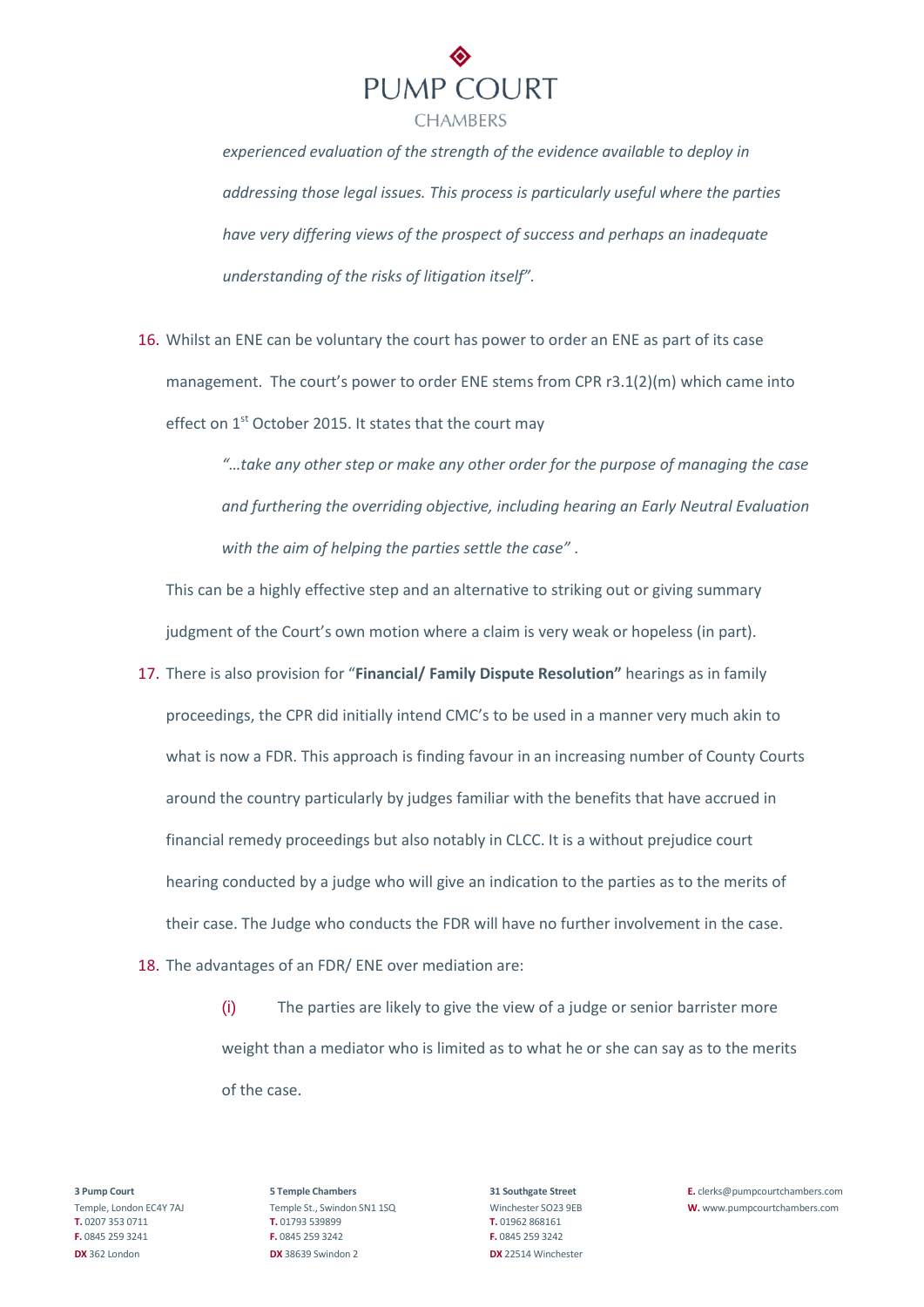

*experienced evaluation of the strength of the evidence available to deploy in addressing those legal issues. This process is particularly useful where the parties have very differing views of the prospect of success and perhaps an inadequate understanding of the risks of litigation itself".* 

16. Whilst an ENE can be voluntary the court has power to order an ENE as part of its case management. The court's power to order ENE stems from CPR r3.1(2)(m) which came into effect on 1<sup>st</sup> October 2015. It states that the court may

> *"…take any other step or make any other order for the purpose of managing the case and furthering the overriding objective, including hearing an Early Neutral Evaluation with the aim of helping the parties settle the case"* .

This can be a highly effective step and an alternative to striking out or giving summary judgment of the Court's own motion where a claim is very weak or hopeless (in part).

- 17. There is also provision for "**Financial/ Family Dispute Resolution"** hearings as in family proceedings, the CPR did initially intend CMC's to be used in a manner very much akin to what is now a FDR. This approach is finding favour in an increasing number of County Courts around the country particularly by judges familiar with the benefits that have accrued in financial remedy proceedings but also notably in CLCC. It is a without prejudice court hearing conducted by a judge who will give an indication to the parties as to the merits of their case. The Judge who conducts the FDR will have no further involvement in the case.
- 18. The advantages of an FDR/ ENE over mediation are:

(i) The parties are likely to give the view of a judge or senior barrister more weight than a mediator who is limited as to what he or she can say as to the merits of the case.

**T.** 0207 353 0711 **T.** 01793 539899 **T.** 01962 868161 **F.** 0845 259 3241 **F.** 0845 259 3242 **F.** 0845 259 3242 **DX** 362 London **DX** 38639 Swindon 2 **DX** 22514 Winchester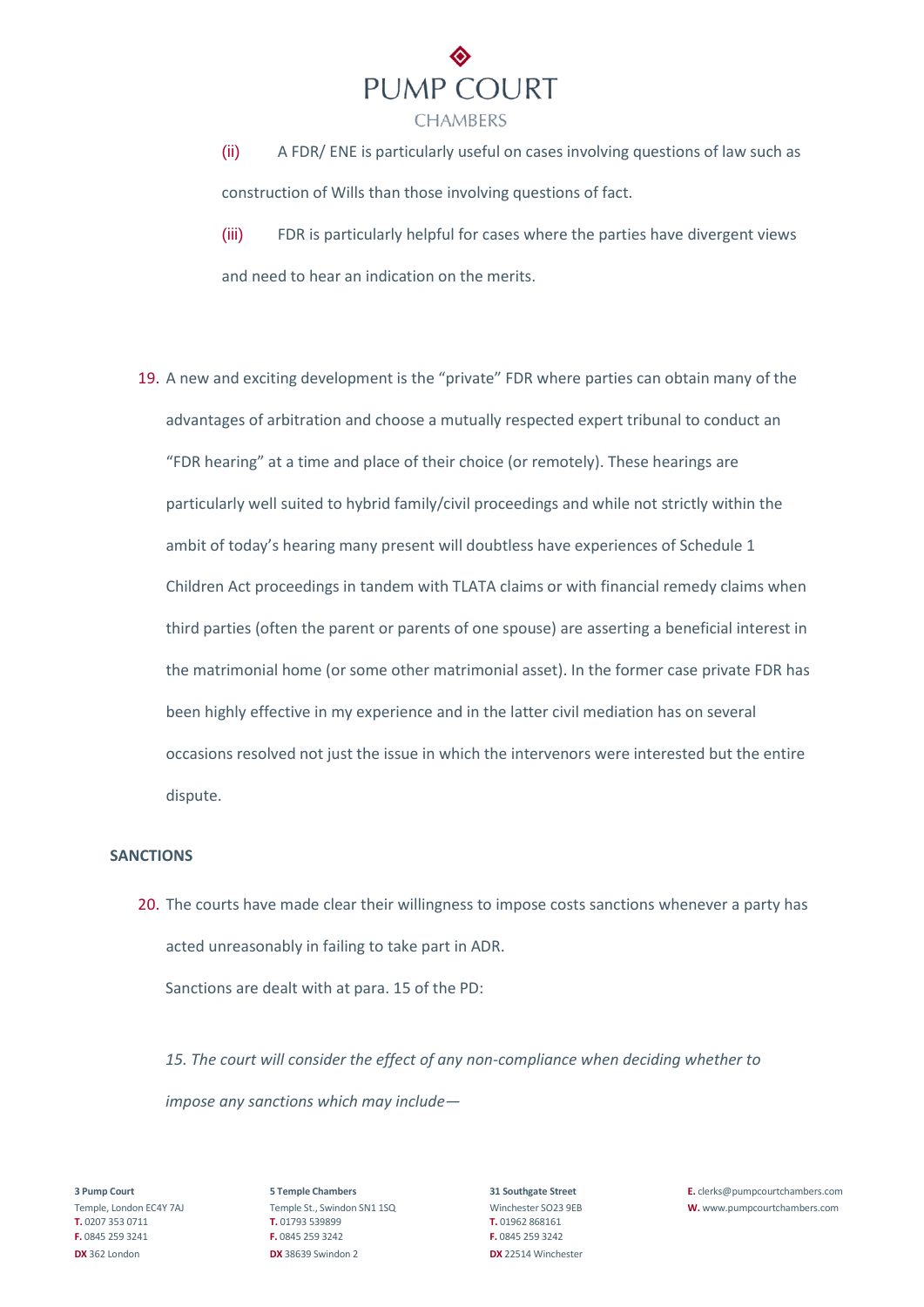

(ii) A FDR/ ENE is particularly useful on cases involving questions of law such as construction of Wills than those involving questions of fact.

(iii) FDR is particularly helpful for cases where the parties have divergent views and need to hear an indication on the merits.

19. A new and exciting development is the "private" FDR where parties can obtain many of the advantages of arbitration and choose a mutually respected expert tribunal to conduct an "FDR hearing" at a time and place of their choice (or remotely). These hearings are particularly well suited to hybrid family/civil proceedings and while not strictly within the ambit of today's hearing many present will doubtless have experiences of Schedule 1 Children Act proceedings in tandem with TLATA claims or with financial remedy claims when third parties (often the parent or parents of one spouse) are asserting a beneficial interest in the matrimonial home (or some other matrimonial asset). In the former case private FDR has been highly effective in my experience and in the latter civil mediation has on several occasions resolved not just the issue in which the intervenors were interested but the entire dispute.

#### **SANCTIONS**

20. The courts have made clear their willingness to impose costs sanctions whenever a party has acted unreasonably in failing to take part in ADR.

Sanctions are dealt with at para. 15 of the PD:

*15. The court will consider the effect of any non-compliance when deciding whether to impose any sanctions which may include—* 

**T.** 0207 353 0711 **T.** 01793 539899 **T.** 01962 868161 **F.** 0845 259 3241 **F.** 0845 259 3242 **F.** 0845 259 3242 **DX** 362 London **DX** 38639 Swindon 2 **DX** 22514 Winchester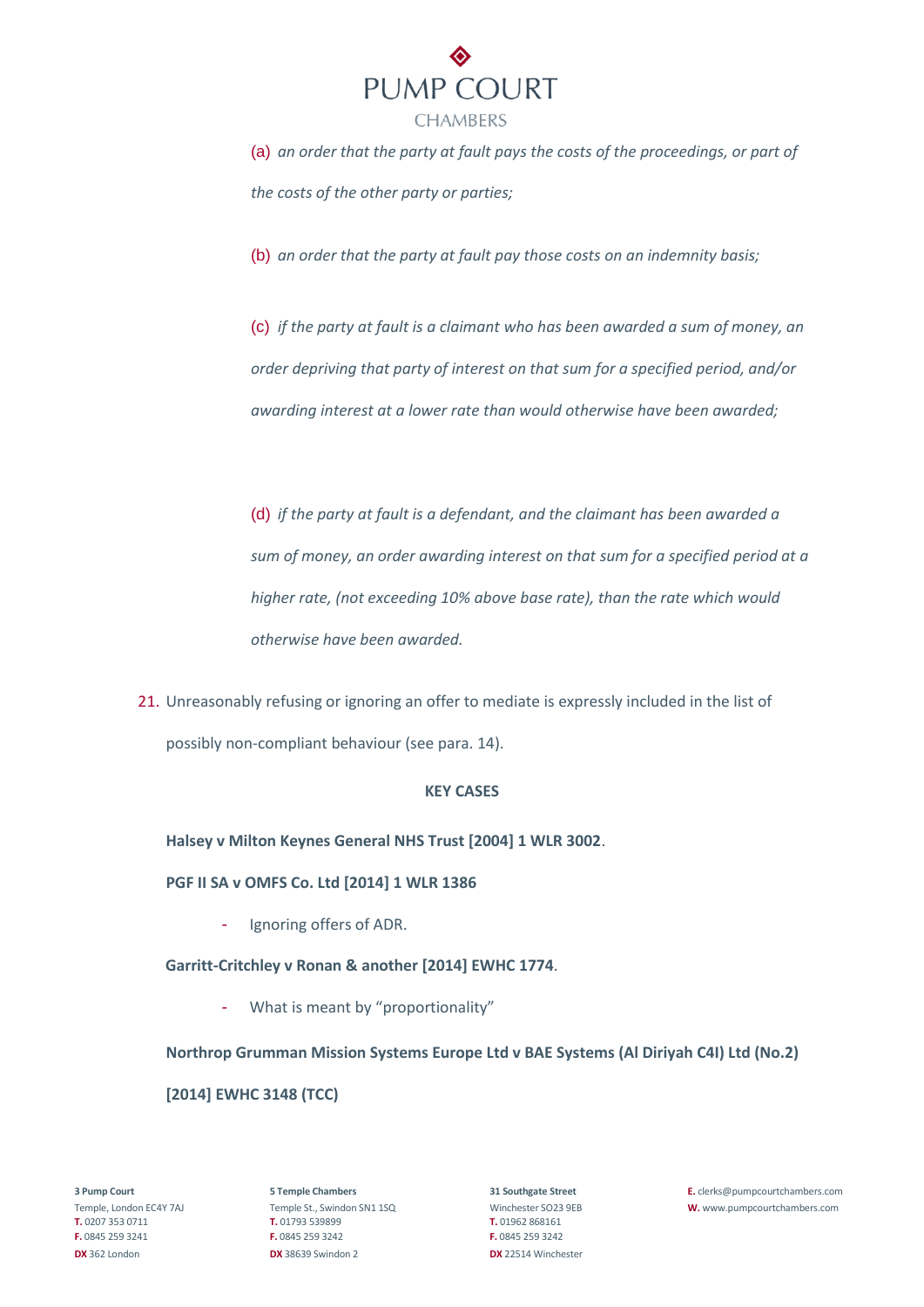

(a) *an order that the party at fault pays the costs of the proceedings, or part of the costs of the other party or parties;* 

(b) *an order that the party at fault pay those costs on an indemnity basis;* 

(c) *if the party at fault is a claimant who has been awarded a sum of money, an order depriving that party of interest on that sum for a specified period, and/or awarding interest at a lower rate than would otherwise have been awarded;* 

(d) *if the party at fault is a defendant, and the claimant has been awarded a sum of money, an order awarding interest on that sum for a specified period at a higher rate, (not exceeding 10% above base rate), than the rate which would otherwise have been awarded.* 

21. Unreasonably refusing or ignoring an offer to mediate is expressly included in the list of possibly non-compliant behaviour (see para. 14).

# **KEY CASES**

**Halsey v Milton Keynes General NHS Trust [2004] 1 WLR 3002**.

# **PGF II SA v OMFS Co. Ltd [2014] 1 WLR 1386**

- Ignoring offers of ADR.

# **Garritt-Critchley v Ronan & another [2014] EWHC 1774**.

- What is meant by "proportionality"

**Northrop Grumman Mission Systems Europe Ltd v BAE Systems (Al Diriyah C4I) Ltd (No.2) [2014] EWHC 3148 (TCC)**

**T.** 0207 353 0711 **T.** 01793 539899 **T.** 01962 868161 **F.** 0845 259 3241 **F.** 0845 259 3242 **F.** 0845 259 3242 **DX** 362 London **DX** 38639 Swindon 2 **DX** 22514 Winchester